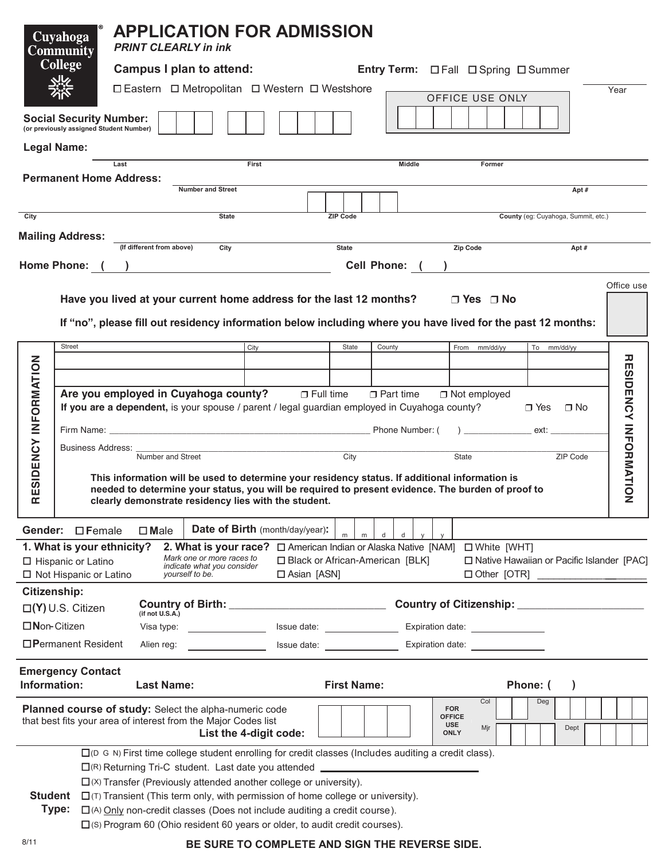| Cuyahoga<br><b>Community</b><br><b>College</b>                                               |                                                                                                                                                                                                                         |                                                                                                                                                                                                                                                                                                                                                       | <b>APPLICATION FOR ADMISSION</b><br><b>PRINT CLEARLY in ink</b> |                          |                                                                                                        |       |                                 |                                          |                    |                        |                 |        |  |                                            |                      |                              |          |     |                                     |  |  |            |
|----------------------------------------------------------------------------------------------|-------------------------------------------------------------------------------------------------------------------------------------------------------------------------------------------------------------------------|-------------------------------------------------------------------------------------------------------------------------------------------------------------------------------------------------------------------------------------------------------------------------------------------------------------------------------------------------------|-----------------------------------------------------------------|--------------------------|--------------------------------------------------------------------------------------------------------|-------|---------------------------------|------------------------------------------|--------------------|------------------------|-----------------|--------|--|--------------------------------------------|----------------------|------------------------------|----------|-----|-------------------------------------|--|--|------------|
|                                                                                              |                                                                                                                                                                                                                         | Campus I plan to attend:<br>Entry Term: <b>Disprice</b> Dispring Disummer                                                                                                                                                                                                                                                                             |                                                                 |                          |                                                                                                        |       |                                 |                                          |                    |                        |                 |        |  |                                            |                      |                              |          |     |                                     |  |  |            |
|                                                                                              |                                                                                                                                                                                                                         | □ Eastern □ Metropolitan □ Western □ Westshore                                                                                                                                                                                                                                                                                                        |                                                                 |                          |                                                                                                        |       |                                 |                                          |                    |                        |                 |        |  |                                            |                      |                              | Year     |     |                                     |  |  |            |
|                                                                                              | <b>Social Security Number:</b><br>(or previously assigned Student Number)                                                                                                                                               |                                                                                                                                                                                                                                                                                                                                                       |                                                                 |                          |                                                                                                        |       |                                 |                                          |                    |                        | OFFICE USE ONLY |        |  |                                            |                      |                              |          |     |                                     |  |  |            |
|                                                                                              | <b>Legal Name:</b>                                                                                                                                                                                                      |                                                                                                                                                                                                                                                                                                                                                       |                                                                 |                          |                                                                                                        |       |                                 |                                          |                    |                        |                 |        |  |                                            |                      |                              |          |     |                                     |  |  |            |
|                                                                                              | <b>Permanent Home Address:</b>                                                                                                                                                                                          | Last                                                                                                                                                                                                                                                                                                                                                  |                                                                 |                          |                                                                                                        | First |                                 |                                          |                    |                        |                 | Middle |  |                                            | Former               |                              |          |     |                                     |  |  |            |
|                                                                                              |                                                                                                                                                                                                                         |                                                                                                                                                                                                                                                                                                                                                       |                                                                 | <b>Number and Street</b> |                                                                                                        |       |                                 |                                          |                    |                        |                 |        |  |                                            |                      |                              |          |     | Apt#                                |  |  |            |
| City                                                                                         |                                                                                                                                                                                                                         |                                                                                                                                                                                                                                                                                                                                                       |                                                                 |                          | <b>State</b>                                                                                           |       |                                 |                                          | <b>ZIP Code</b>    |                        |                 |        |  |                                            |                      |                              |          |     | County (eg: Cuyahoga, Summit, etc.) |  |  |            |
|                                                                                              |                                                                                                                                                                                                                         |                                                                                                                                                                                                                                                                                                                                                       |                                                                 |                          |                                                                                                        |       |                                 |                                          |                    |                        |                 |        |  |                                            |                      |                              |          |     |                                     |  |  |            |
|                                                                                              | <b>Mailing Address:</b>                                                                                                                                                                                                 | (If different from above)                                                                                                                                                                                                                                                                                                                             | <b>State</b>                                                    |                          |                                                                                                        |       |                                 |                                          |                    |                        | Zip Code        |        |  | Apt #                                      |                      |                              |          |     |                                     |  |  |            |
|                                                                                              |                                                                                                                                                                                                                         | Home Phone: ( )                                                                                                                                                                                                                                                                                                                                       |                                                                 |                          |                                                                                                        |       |                                 |                                          |                    | Cell Phone: ( <u>)</u> |                 |        |  |                                            |                      |                              |          |     |                                     |  |  |            |
|                                                                                              |                                                                                                                                                                                                                         | Have you lived at your current home address for the last 12 months?<br>If "no", please fill out residency information below including where you have lived for the past 12 months:                                                                                                                                                                    |                                                                 |                          |                                                                                                        |       |                                 |                                          |                    |                        |                 |        |  |                                            | $\Box$ Yes $\Box$ No |                              |          |     |                                     |  |  | Office use |
|                                                                                              | <b>Street</b>                                                                                                                                                                                                           |                                                                                                                                                                                                                                                                                                                                                       |                                                                 |                          |                                                                                                        | City  |                                 |                                          | State              |                        | County          |        |  |                                            | From mm/dd/yy        |                              |          |     | To mm/dd/yy                         |  |  |            |
|                                                                                              |                                                                                                                                                                                                                         |                                                                                                                                                                                                                                                                                                                                                       |                                                                 |                          |                                                                                                        |       |                                 |                                          |                    |                        |                 |        |  |                                            |                      |                              |          |     |                                     |  |  |            |
|                                                                                              |                                                                                                                                                                                                                         |                                                                                                                                                                                                                                                                                                                                                       |                                                                 |                          |                                                                                                        |       |                                 |                                          |                    |                        |                 |        |  |                                            |                      |                              |          |     |                                     |  |  |            |
|                                                                                              | Are you employed in Cuyahoga county? D Full time<br>$\Box$ Part time<br>$\Box$ Not employed<br>If you are a dependent, is your spouse / parent / legal guardian employed in Cuyahoga county?<br>$\Box$ Yes<br>$\Box$ No |                                                                                                                                                                                                                                                                                                                                                       |                                                                 |                          |                                                                                                        |       |                                 |                                          |                    |                        |                 |        |  |                                            |                      |                              |          |     |                                     |  |  |            |
|                                                                                              |                                                                                                                                                                                                                         | Phone Number: (<br>$\overline{z}$ and $\overline{z}$ and $\overline{z}$ and $\overline{z}$ and $\overline{z}$ and $\overline{z}$ and $\overline{z}$ and $\overline{z}$ and $\overline{z}$ and $\overline{z}$ and $\overline{z}$ and $\overline{z}$ and $\overline{z}$ and $\overline{z}$ and $\overline{z}$ and $\overline{z}$ and $\overline{z}$ and |                                                                 |                          |                                                                                                        |       |                                 |                                          |                    |                        |                 |        |  |                                            |                      |                              |          |     |                                     |  |  |            |
|                                                                                              |                                                                                                                                                                                                                         | Business Address:                                                                                                                                                                                                                                                                                                                                     |                                                                 |                          |                                                                                                        |       |                                 |                                          |                    |                        |                 |        |  |                                            |                      |                              |          |     |                                     |  |  |            |
|                                                                                              |                                                                                                                                                                                                                         | Number and Street                                                                                                                                                                                                                                                                                                                                     |                                                                 |                          |                                                                                                        |       |                                 |                                          | City<br>State      |                        |                 |        |  |                                            |                      |                              |          |     | ZIP Code                            |  |  |            |
| ESIDENCY INFORMATION<br>$\square$                                                            |                                                                                                                                                                                                                         | This information will be used to determine your residency status. If additional information is<br>needed to determine your status, you will be required to present evidence. The burden of proof to<br>clearly demonstrate residency lies with the student.                                                                                           |                                                                 |                          |                                                                                                        |       |                                 |                                          |                    |                        |                 |        |  |                                            |                      | <b>RESIDENCY INFORMATION</b> |          |     |                                     |  |  |            |
|                                                                                              | Gender: <b>D</b> Female                                                                                                                                                                                                 | $\square$ Male                                                                                                                                                                                                                                                                                                                                        |                                                                 |                          |                                                                                                        |       | Date of Birth (month/day/year): |                                          |                    |                        |                 |        |  |                                            |                      |                              |          |     |                                     |  |  |            |
|                                                                                              | 1. What is your ethnicity?                                                                                                                                                                                              |                                                                                                                                                                                                                                                                                                                                                       | 2. What is your race?                                           |                          |                                                                                                        |       |                                 | □ American Indian or Alaska Native [NAM] |                    |                        |                 |        |  |                                            | □ White [WHT]        |                              |          |     |                                     |  |  |            |
| Mark one or more races to<br>□ Hispanic or Latino<br>indicate what you consider              |                                                                                                                                                                                                                         |                                                                                                                                                                                                                                                                                                                                                       |                                                                 |                          | □ Black or African-American [BLK]<br>□ Native Hawaiian or Pacific Islander [PAC]<br>$\Box$ Asian [ASN] |       |                                 |                                          |                    |                        |                 |        |  |                                            |                      |                              |          |     |                                     |  |  |            |
|                                                                                              | $\Box$ Not Hispanic or Latino                                                                                                                                                                                           |                                                                                                                                                                                                                                                                                                                                                       | yourself to be.                                                 |                          |                                                                                                        |       |                                 |                                          |                    |                        |                 |        |  |                                            |                      |                              |          |     |                                     |  |  |            |
| <b>Citizenship:</b>                                                                          |                                                                                                                                                                                                                         |                                                                                                                                                                                                                                                                                                                                                       |                                                                 |                          |                                                                                                        |       |                                 |                                          |                    |                        |                 |        |  |                                            |                      |                              |          |     |                                     |  |  |            |
| $\square$ (Y) U.S. Citizen<br>(if not U.S.A.)<br>$\Box$ Non-Citizen<br>Visa type: $\sqrt{ }$ |                                                                                                                                                                                                                         |                                                                                                                                                                                                                                                                                                                                                       |                                                                 |                          |                                                                                                        |       |                                 |                                          |                    |                        |                 |        |  |                                            |                      |                              |          |     |                                     |  |  |            |
|                                                                                              | $\Box$ Permanent Resident                                                                                                                                                                                               |                                                                                                                                                                                                                                                                                                                                                       | Alien reg: <u>___________________</u>                           |                          |                                                                                                        |       |                                 |                                          |                    |                        |                 |        |  |                                            |                      |                              |          |     |                                     |  |  |            |
| Information:                                                                                 | <b>Emergency Contact</b>                                                                                                                                                                                                |                                                                                                                                                                                                                                                                                                                                                       | <b>Last Name:</b>                                               |                          |                                                                                                        |       |                                 |                                          | <b>First Name:</b> |                        |                 |        |  |                                            |                      |                              | Phone: ( |     | $\lambda$                           |  |  |            |
|                                                                                              | Planned course of study: Select the alpha-numeric code                                                                                                                                                                  |                                                                                                                                                                                                                                                                                                                                                       |                                                                 |                          |                                                                                                        |       |                                 |                                          |                    |                        |                 |        |  | <b>FOR</b>                                 | Col                  |                              |          | Deg |                                     |  |  |            |
|                                                                                              | that best fits your area of interest from the Major Codes list                                                                                                                                                          |                                                                                                                                                                                                                                                                                                                                                       |                                                                 |                          |                                                                                                        |       | List the 4-digit code:          |                                          |                    |                        |                 |        |  | <b>OFFICE</b><br><b>USE</b><br><b>ONLY</b> | Mjr                  |                              |          |     | Dept                                |  |  |            |
|                                                                                              |                                                                                                                                                                                                                         | $\square$ (D G N) First time college student enrolling for credit classes (Includes auditing a credit class).                                                                                                                                                                                                                                         |                                                                 |                          |                                                                                                        |       |                                 |                                          |                    |                        |                 |        |  |                                            |                      |                              |          |     |                                     |  |  |            |
|                                                                                              |                                                                                                                                                                                                                         | □(R) Returning Tri-C student. Last date you attended __________________________                                                                                                                                                                                                                                                                       |                                                                 |                          |                                                                                                        |       |                                 |                                          |                    |                        |                 |        |  |                                            |                      |                              |          |     |                                     |  |  |            |
| <b>Student</b>                                                                               |                                                                                                                                                                                                                         | $\square$ ( $\times$ ) Transfer (Previously attended another college or university).<br>$\square$ (T) Transient (This term only, with permission of home college or university).                                                                                                                                                                      |                                                                 |                          |                                                                                                        |       |                                 |                                          |                    |                        |                 |        |  |                                            |                      |                              |          |     |                                     |  |  |            |
|                                                                                              | Type:                                                                                                                                                                                                                   | $\Box$ (A) Only non-credit classes (Does not include auditing a credit course).                                                                                                                                                                                                                                                                       |                                                                 |                          |                                                                                                        |       |                                 |                                          |                    |                        |                 |        |  |                                            |                      |                              |          |     |                                     |  |  |            |
| $\square$ (S) Program 60 (Ohio resident 60 years or older, to audit credit courses).         |                                                                                                                                                                                                                         |                                                                                                                                                                                                                                                                                                                                                       |                                                                 |                          |                                                                                                        |       |                                 |                                          |                    |                        |                 |        |  |                                            |                      |                              |          |     |                                     |  |  |            |

## **BE SURE TO COMPLETE AND SIGN THE REVERSE SIDE.**